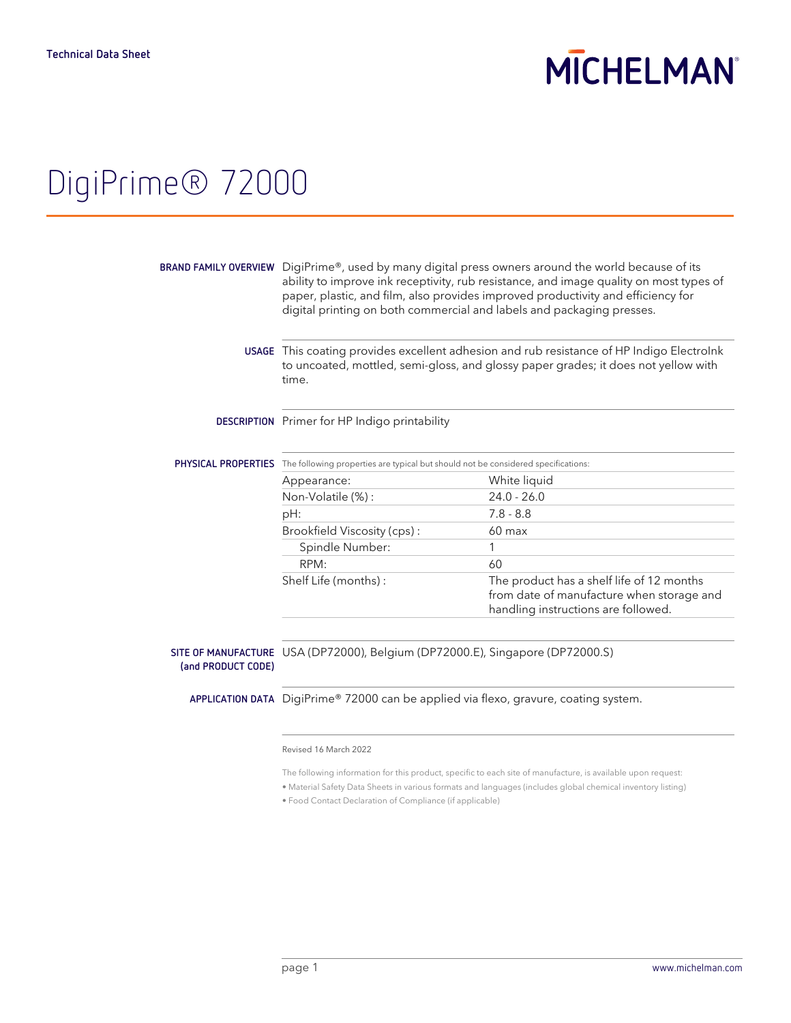# **MICHELMAN**

## DigiPrime® 72000

| time.                                                                             | USAGE This coating provides excellent adhesion and rub resistance of HP Indigo Electrolnk<br>to uncoated, mottled, semi-gloss, and glossy paper grades; it does not yellow with |
|-----------------------------------------------------------------------------------|---------------------------------------------------------------------------------------------------------------------------------------------------------------------------------|
| <b>DESCRIPTION</b> Primer for HP Indigo printability                              |                                                                                                                                                                                 |
| The following properties are typical but should not be considered specifications: |                                                                                                                                                                                 |
| Appearance:                                                                       | White liquid                                                                                                                                                                    |
| Non-Volatile (%) :                                                                | $24.0 - 26.0$                                                                                                                                                                   |
| pH:                                                                               | $7.8 - 8.8$                                                                                                                                                                     |
| Brookfield Viscosity (cps):                                                       | $60 \text{ max}$                                                                                                                                                                |
| Spindle Number:                                                                   |                                                                                                                                                                                 |
| RPM:                                                                              | 60                                                                                                                                                                              |
| Shelf Life (months):                                                              | The product has a shelf life of 12 months<br>from date of manufacture when storage and<br>handling instructions are followed.                                                   |
|                                                                                   |                                                                                                                                                                                 |

**(and PRODUCT CODE)**

**APPLICATION DATA** DigiPrime® 72000 can be applied via flexo, gravure, coating system.

### Revised 16 March 2022

The following information for this product, specific to each site of manufacture, is available upon request:

• Material Safety Data Sheets in various formats and languages (includes global chemical inventory listing)

• Food Contact Declaration of Compliance (if applicable)